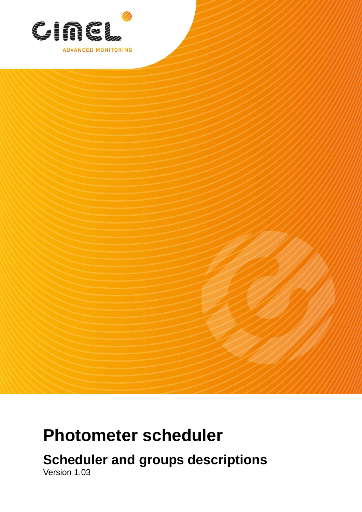

# **Photometer scheduler**

**Scheduler and groups descriptions** 

Version 1.03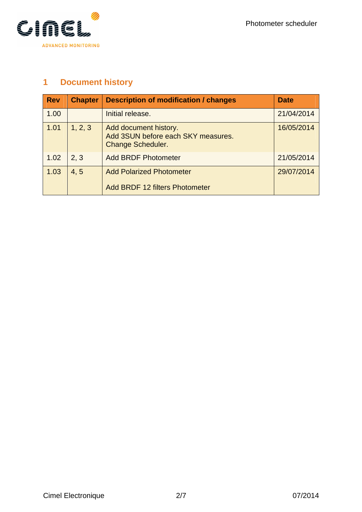

# **1 Document history**

| <b>Rev</b> | <b>Chapter</b> | <b>Description of modification / changes</b>                                            | <b>Date</b> |
|------------|----------------|-----------------------------------------------------------------------------------------|-------------|
| 1.00       |                | Initial release.                                                                        | 21/04/2014  |
| 1.01       | 1, 2, 3        | Add document history.<br>Add 3SUN before each SKY measures.<br><b>Change Scheduler.</b> | 16/05/2014  |
| 1.02       | 2, 3           | <b>Add BRDF Photometer</b>                                                              | 21/05/2014  |
| 1.03       | 4, 5           | <b>Add Polarized Photometer</b><br><b>Add BRDF 12 filters Photometer</b>                | 29/07/2014  |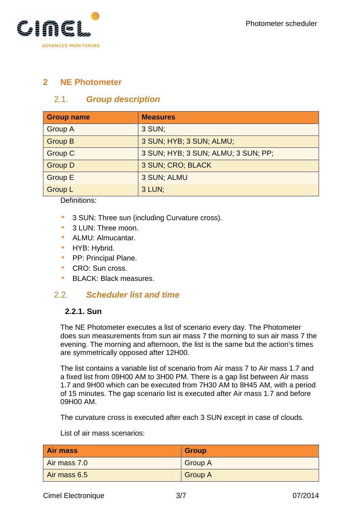

# **2 NE Photometer**

## 2.1. **Group description**

| <b>Group name</b> | <b>Measures</b>                     |
|-------------------|-------------------------------------|
| <b>Group A</b>    | 3 SUN;                              |
| Group B           | 3 SUN; HYB; 3 SUN; ALMU;            |
| <b>Group C</b>    | 3 SUN; HYB; 3 SUN; ALMU; 3 SUN; PP; |
| Group D           | 3 SUN; CRO; BLACK                   |
| <b>Group E</b>    | 3 SUN; ALMU                         |
| <b>Group L</b>    | 3 LUN;                              |

Definitions:

- 3 SUN: Three sun (including Curvature cross).
- 3 LUN: Three moon.
- ALMU: Almucantar.
- HYB: Hybrid.
- **•** PP: Principal Plane.
- CRO: Sun cross.
- BLACK: Black measures.

#### 2.2. **Scheduler list and time**

#### **2.2.1. Sun**

The NE Photometer executes a list of scenario every day. The Photometer does sun measurements from sun air mass 7 the morning to sun air mass 7 the evening. The morning and afternoon, the list is the same but the action's times are symmetrically opposed after 12H00.

The list contains a variable list of scenario from Air mass 7 to Air mass 1.7 and a fixed list from 09H00 AM to 3H00 PM. There is a gap list between Air mass 1.7 and 9H00 which can be executed from 7H30 AM to 8H45 AM, with a period of 15 minutes. The gap scenario list is executed after Air mass 1.7 and before 09H00 AM.

The curvature cross is executed after each 3 SUN except in case of clouds.

List of air mass scenarios:

| <b>Air mass</b> | <b>Group</b>   |
|-----------------|----------------|
| Air mass 7.0    | <b>Group A</b> |
| Air mass 6.5    | <b>Group A</b> |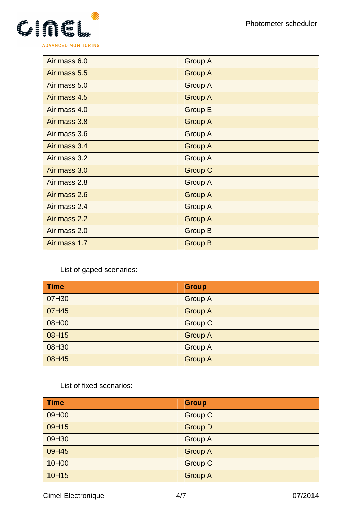

| Air mass 6.0 | <b>Group A</b> |
|--------------|----------------|
| Air mass 5.5 | <b>Group A</b> |
| Air mass 5.0 | <b>Group A</b> |
| Air mass 4.5 | <b>Group A</b> |
| Air mass 4.0 | <b>Group E</b> |
| Air mass 3.8 | <b>Group A</b> |
| Air mass 3.6 | <b>Group A</b> |
| Air mass 3.4 | <b>Group A</b> |
| Air mass 3.2 | Group A        |
| Air mass 3.0 | <b>Group C</b> |
| Air mass 2.8 | <b>Group A</b> |
| Air mass 2.6 | <b>Group A</b> |
| Air mass 2.4 | <b>Group A</b> |
| Air mass 2.2 | <b>Group A</b> |
| Air mass 2.0 | <b>Group B</b> |
| Air mass 1.7 | <b>Group B</b> |

List of gaped scenarios:

| <b>Time</b> | <b>Group</b>   |
|-------------|----------------|
| 07H30       | <b>Group A</b> |
| 07H45       | <b>Group A</b> |
| 08H00       | <b>Group C</b> |
| 08H15       | <b>Group A</b> |
| 08H30       | <b>Group A</b> |
| 08H45       | <b>Group A</b> |

List of fixed scenarios:

| <b>Time</b> | <b>Group</b>   |
|-------------|----------------|
| 09H00       | <b>Group C</b> |
| 09H15       | <b>Group D</b> |
| 09H30       | <b>Group A</b> |
| 09H45       | <b>Group A</b> |
| 10H00       | <b>Group C</b> |
| 10H15       | <b>Group A</b> |

Cimel Electronique **4/7** 07/2014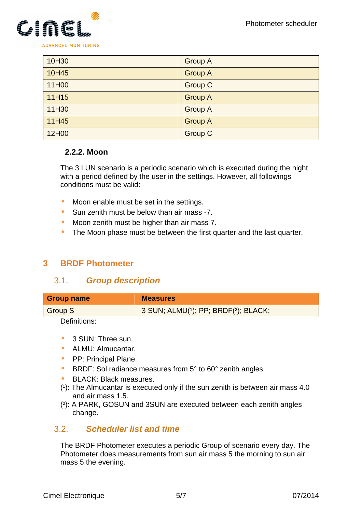

| 10H30 | <b>Group A</b> |
|-------|----------------|
| 10H45 | <b>Group A</b> |
| 11H00 | <b>Group C</b> |
| 11H15 | <b>Group A</b> |
| 11H30 | <b>Group A</b> |
| 11H45 | <b>Group A</b> |
| 12H00 | <b>Group C</b> |

#### **2.2.2. Moon**

The 3 LUN scenario is a periodic scenario which is executed during the night with a period defined by the user in the settings. However, all followings conditions must be valid:

- Moon enable must be set in the settings.
- Sun zenith must be below than air mass -7.
- Moon zenith must be higher than air mass 7.
- The Moon phase must be between the first quarter and the last quarter.

# **3 BRDF Photometer**

#### 3.1. **Group description**

| <b>Group name</b> | <b>Measures</b>                     |
|-------------------|-------------------------------------|
| Group S           | 3 SUN; ALMU(1); PP; BRDF(2); BLACK; |

Definitions:

- 3 SUN: Three sun.
- ALMU: Almucantar.
- PP: Principal Plane.
- BRDF: Sol radiance measures from 5° to 60° zenith angles.
- BLACK: Black measures.
- $(1)$ : The Almucantar is executed only if the sun zenith is between air mass 4.0 and air mass 1.5.
- (²): A PARK, GOSUN and 3SUN are executed between each zenith angles change.

#### 3.2. **Scheduler list and time**

The BRDF Photometer executes a periodic Group of scenario every day. The Photometer does measurements from sun air mass 5 the morning to sun air mass 5 the evening.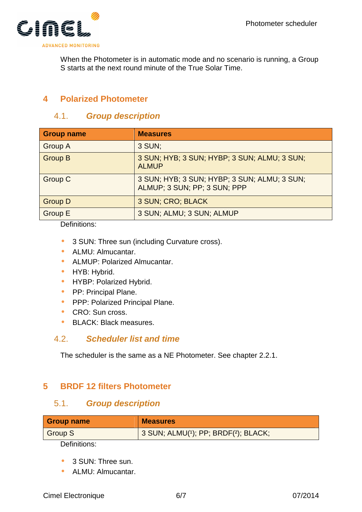

When the Photometer is in automatic mode and no scenario is running, a Group S starts at the next round minute of the True Solar Time.

# **4 Polarized Photometer**

# 4.1. **Group description**

| <b>Group name</b> | <b>Measures</b>                                                              |
|-------------------|------------------------------------------------------------------------------|
| <b>Group A</b>    | 3 SUN;                                                                       |
| <b>Group B</b>    | 3 SUN; HYB; 3 SUN; HYBP; 3 SUN; ALMU; 3 SUN;<br><b>ALMUP</b>                 |
| <b>Group C</b>    | 3 SUN; HYB; 3 SUN; HYBP; 3 SUN; ALMU; 3 SUN;<br>ALMUP; 3 SUN; PP; 3 SUN; PPP |
| <b>Group D</b>    | 3 SUN; CRO; BLACK                                                            |
| <b>Group E</b>    | 3 SUN; ALMU; 3 SUN; ALMUP                                                    |

Definitions:

- 3 SUN: Three sun (including Curvature cross).
- ALMU: Almucantar.
- ALMUP: Polarized Almucantar.
- HYB: Hybrid.
- HYBP: Polarized Hybrid.
- **•** PP: Principal Plane.
- **PPP: Polarized Principal Plane.**
- CRO: Sun cross.
- BLACK: Black measures.

#### 4.2. **Scheduler list and time**

The scheduler is the same as a NE Photometer. See chapter 2.2.1.

# **5 BRDF 12 filters Photometer**

#### 5.1. **Group description**

| <b>Group name</b> | <b>Measures</b>                     |
|-------------------|-------------------------------------|
| <b>Group S</b>    | 3 SUN; ALMU(1); PP; BRDF(2); BLACK; |
| - - -             |                                     |

Definitions:

- 3 SUN: Three sun.
- ALMU: Almucantar.